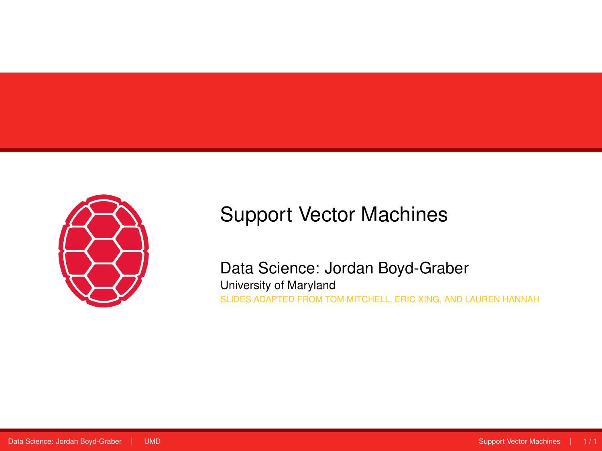<span id="page-0-0"></span>

### Support Vector Machines

Data Science: Jordan Boyd-Graber University of Maryland SLIDES ADAPTED FROM TOM MITCHELL, ERIC XING, AND LAUREN HANNAH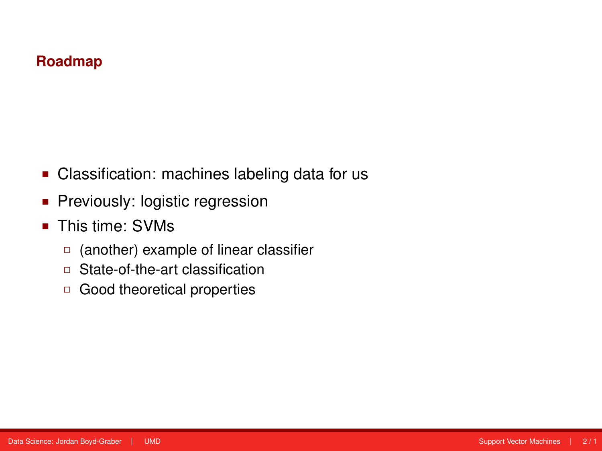#### **Roadmap**

- Classification: machines labeling data for us
- **Previously: logistic regression**
- This time: SVMs
	- (another) example of linear classifier
	- □ State-of-the-art classification
	- Good theoretical properties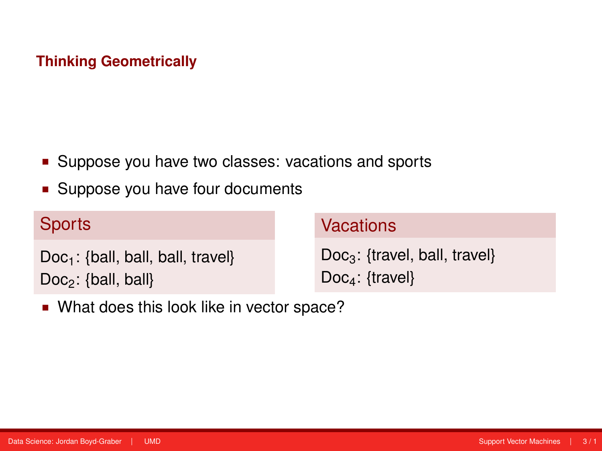#### **Thinking Geometrically**

- **Suppose you have two classes: vacations and sports**
- **Suppose you have four documents**

| <b>Sports</b>                        | <b>Vacations</b>                 |
|--------------------------------------|----------------------------------|
| $Doc_1$ : {ball, ball, ball, travel} | $Doc_3$ : {travel, ball, travel} |
| $Doc_2$ : {ball, ball}               | $Doc_4$ : {travel}               |

**Nhat does this look like in vector space?**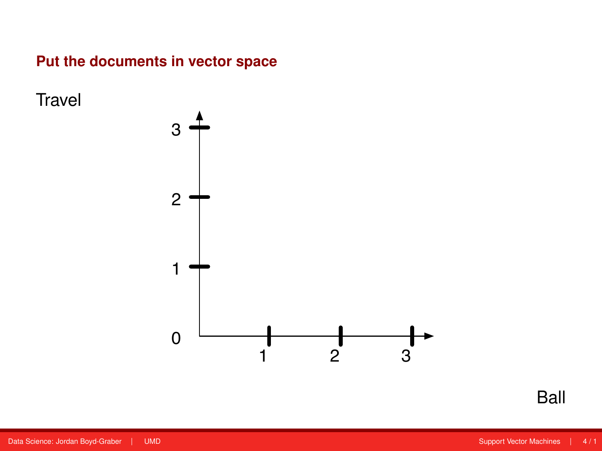#### **Put the documents in vector space**

**Travel** 



Ball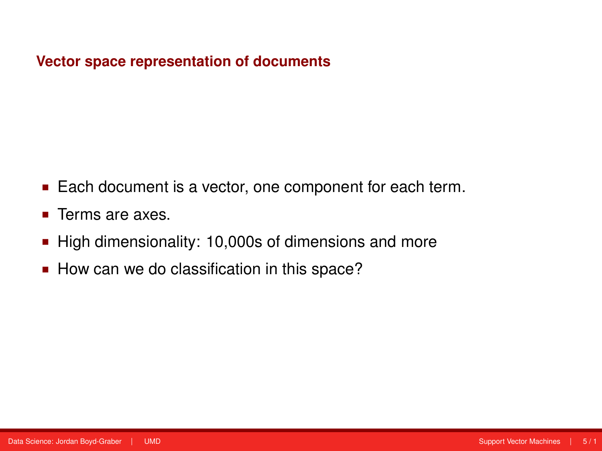#### **Vector space representation of documents**

- Each document is a vector, one component for each term.
- **Terms are axes.**
- High dimensionality: 10,000s of dimensions and more
- How can we do classification in this space?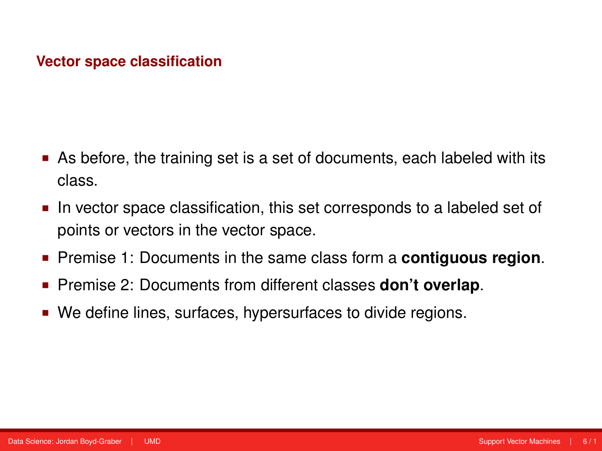#### **Vector space classification**

- As before, the training set is a set of documents, each labeled with its class.
- In vector space classification, this set corresponds to a labeled set of points or vectors in the vector space.
- Premise 1: Documents in the same class form a **contiguous region**.
- Premise 2: Documents from different classes **don't overlap**.
- We define lines, surfaces, hypersurfaces to divide regions.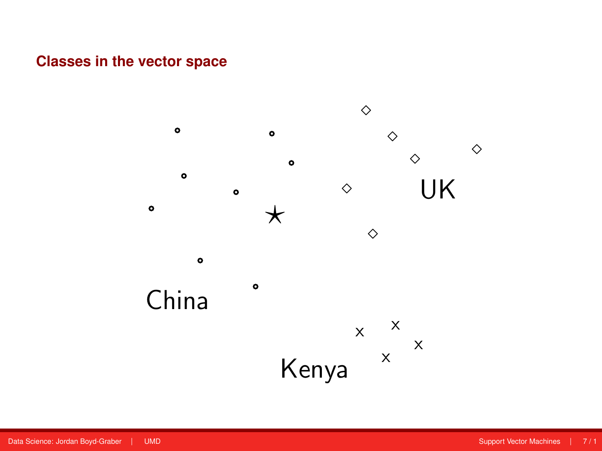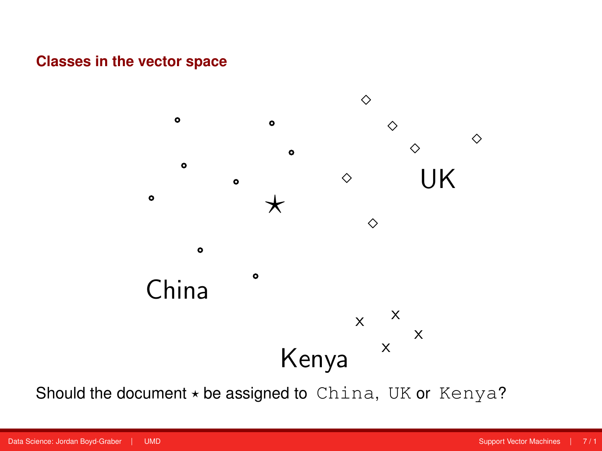

Should the document ! be assigned to China, UK or Kenya? Should the document *?* be assigned to China, UK or Kenya?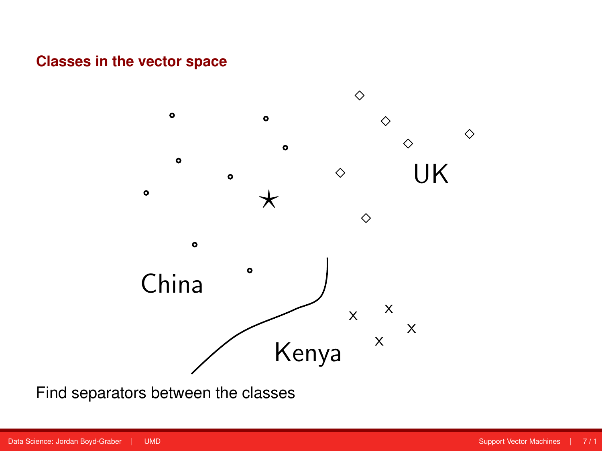

Find separators between the classes Find separators between the classes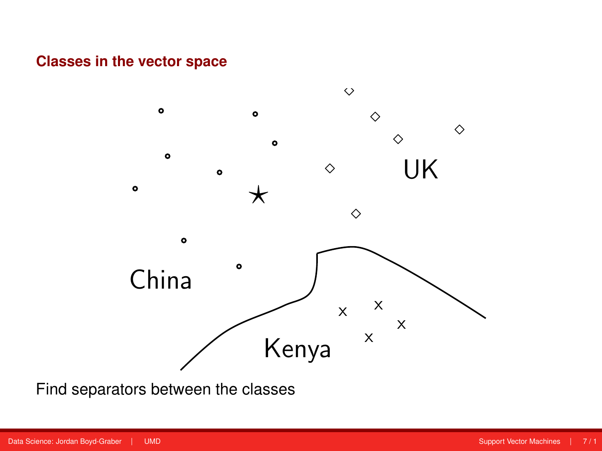

Find separators between the classes Find separators between the classes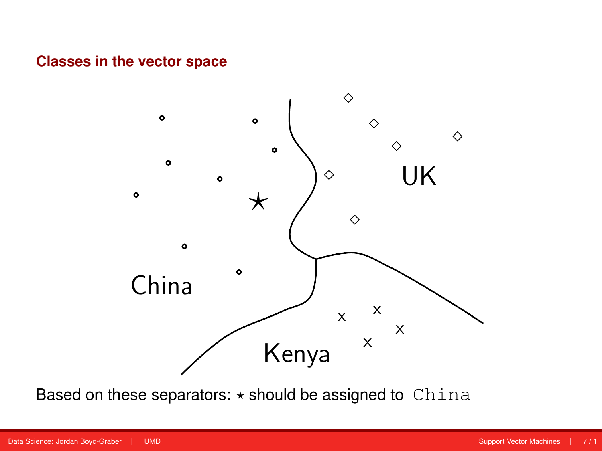

Based on these separators:  $\star$  should be assigned to China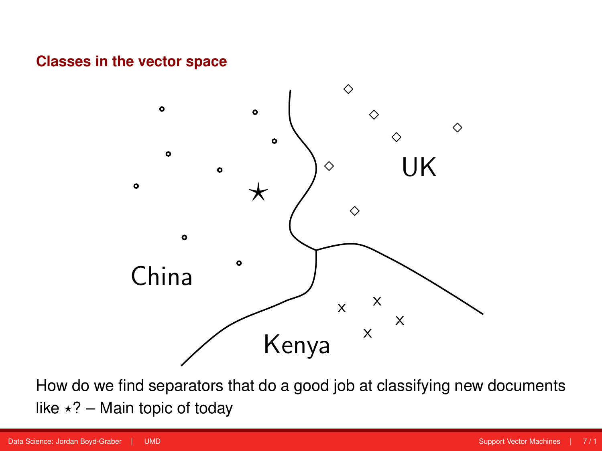

How do we find separators that do a good job at classifying new documents like  $\star$ ? – Main topic of today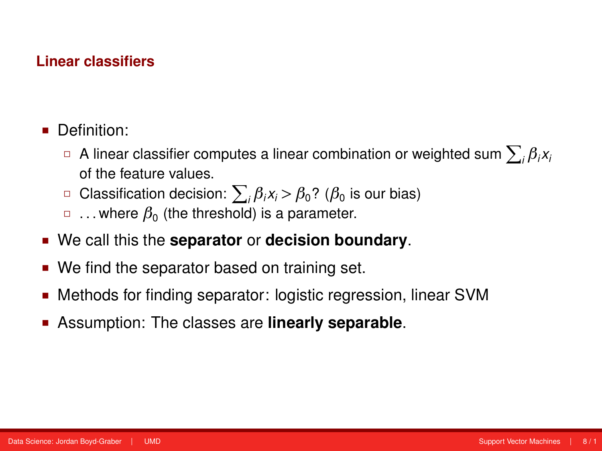#### **Linear classifiers**

- **Definition:** 
	- $□$  A linear classifier computes a linear combination or weighted sum  $\sum_i β_i$ x<sub>i</sub> of the feature values.
	- Classification decision: P *<sup>i</sup> βix<sup>i</sup> > β*0? (*β*<sup>0</sup> is our bias)
	- $\Box$   $\ldots$  where  $\beta_0$  (the threshold) is a parameter.
- We call this the **separator** or **decision boundary**.
- We find the separator based on training set.
- Methods for finding separator: logistic regression, linear SVM
- Assumption: The classes are **linearly separable**.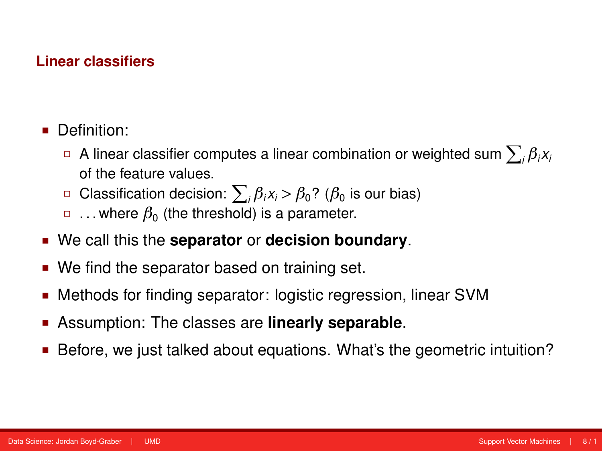#### **Linear classifiers**

- Definition:
	- $□$  A linear classifier computes a linear combination or weighted sum  $\sum_i β_i$ x<sub>i</sub> of the feature values.
	- Classification decision: P *<sup>i</sup> βix<sup>i</sup> > β*0? (*β*<sup>0</sup> is our bias)
	- $\Box$   $\ldots$  where  $\beta_0$  (the threshold) is a parameter.
- We call this the **separator** or **decision boundary**.
- We find the separator based on training set.
- Methods for finding separator: logistic regression, linear SVM
- Assumption: The classes are **linearly separable**.
- Before, we just talked about equations. What's the geometric intuition?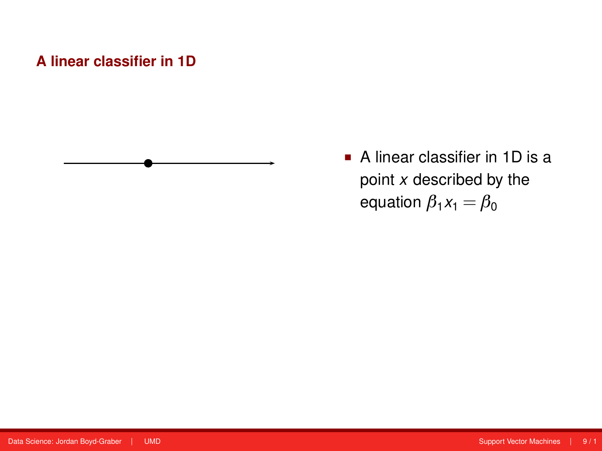

 A linear classifier in 1D is a point *x* described by the equation  $\beta_1 x_1 = \beta_0$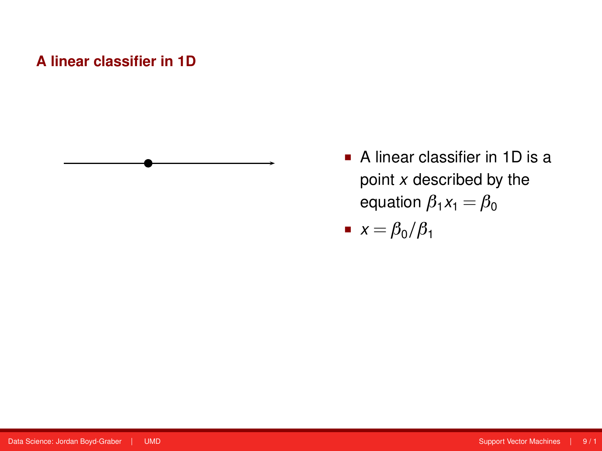

 A linear classifier in 1D is a point *x* described by the equation  $\beta_1 x_1 = \beta_0$ 

 $\blacksquare$  *x* =  $\beta_0/\beta_1$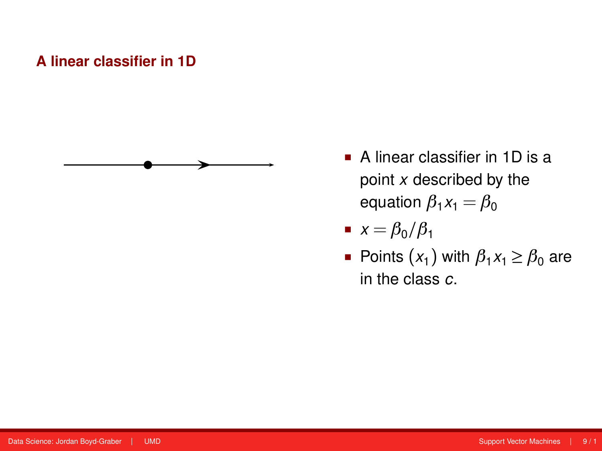

- A linear classifier in 1D is a point *x* described by the equation  $\beta_1 x_1 = \beta_0$ 
	- $\blacksquare$  *x* =  $\beta_0/\beta_1$
	- Points  $(x_1)$  with  $\beta_1 x_1 \geq \beta_0$  are in the class *c*.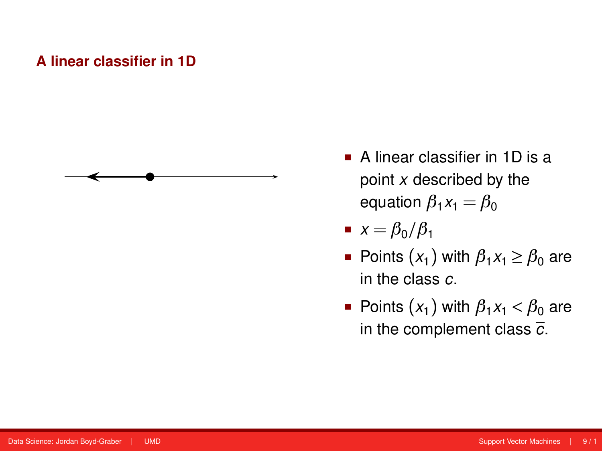

- A linear classifier in 1D is a point *x* described by the equation  $\beta_1 x_1 =$ equation  $\beta_1x_1 = \beta_0$
- $x = \beta_0/\beta_1$ 
	- Points  $(x_1)$  with  $\beta_1 x_1 \geq \beta_0$  are in the class *c*.
- $\overline{\phantom{a}}$  in the complement class  $\overline{\phantom{a}}$ . Points  $(x_1)$  with  $\beta_1 x_1 < \beta_0$  are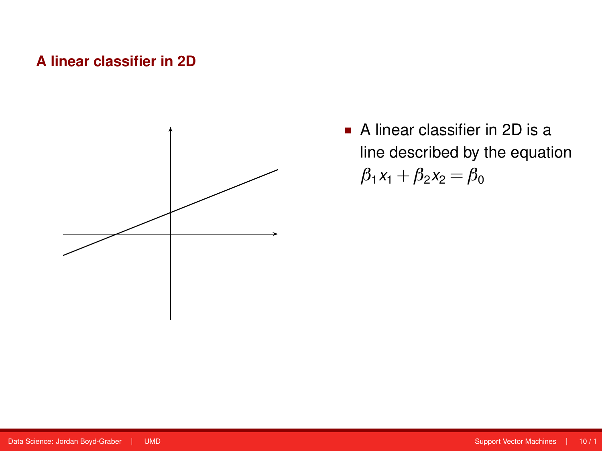

A linear classifier in 2D is  $\blacksquare$  A linear classifier in 2D is a line described by the equation  $β_1x_1 + β_2x_2 = β_0$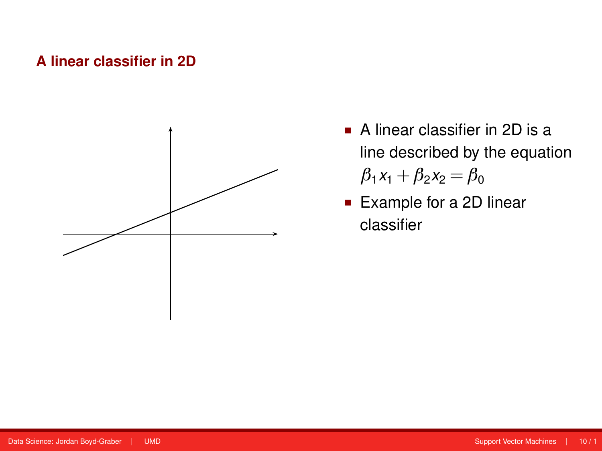

- A linear classifier in 2D is  $\blacksquare$  A linear classifier in 2D is a line described by the equation  $β_1x_1 + β_2x_2 = β_0$
- **Example for a 2D linear** classifier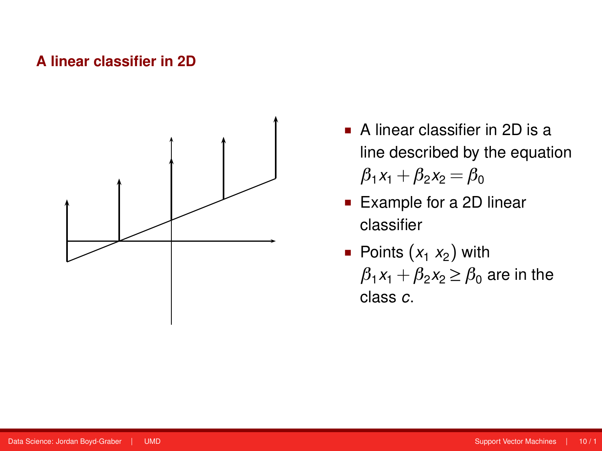

- A linear classifier in 2D is A linear classifier in 2D is a line described by the equation  $e^{i\theta}$  $β_1x_1 + β_2x_2 = β_0$
- Example for a 2D linear classifier
- Points  $(x_1, x_2)$  with  $\beta_1 x_1 + \beta_2 x_2 \geq \beta_0$  are in the class *c*.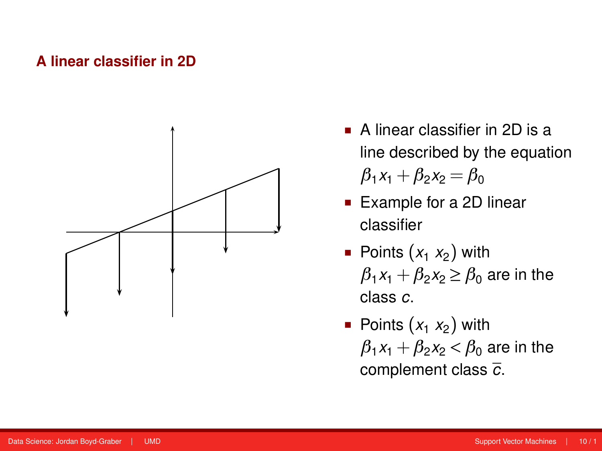

- A linear classifier in 2D is  $\blacksquare$  A linear classifier in 2D is a line described by the equation  $β_1x_1 + β_2x_2 = β_0$
- classifier  $\blacksquare$  Example for a 2D linear classifier
- **Points**  $(x_1, x_2)$  with  $\rho$  with  $\rho$  $\beta_1x_1+\beta_2x_2$   $\geq$   $\beta_0$  are in the class *c*.
- Sch¨utze: Support vector machines 16 / 55 • Points  $(x_1, x_2)$  with  $\beta_1 x_1 + \beta_2 x_2 < \beta_0$  are in the complement class *c*.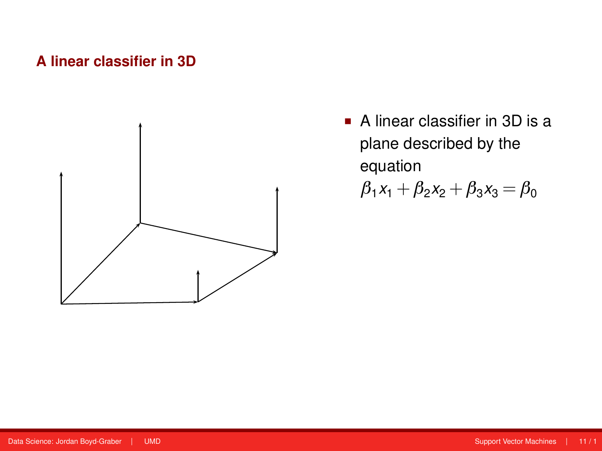

 $\overline{A}$  linear classifier in  $\overline{A}$  $\blacksquare$  A linear classifier in 3D is a equation plane described by the

*β*<sub>1</sub>*x*<sub>1</sub> + *β*<sub>2</sub>*x*<sub>2</sub> + *β*<sub>3</sub>*x*<sub>3</sub> = *β*<sub>0</sub>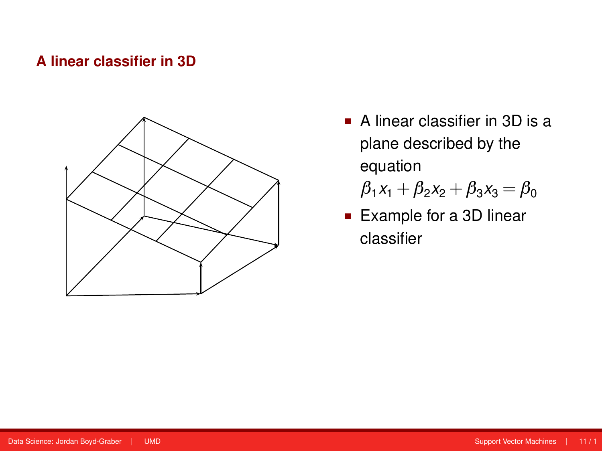

 $\blacksquare$  A linear classifier in 3D is a  $\mu$ 1 - waaronde steep  $\mu$ equation plane described by the

 $\beta_1 x_1 + \beta_2 x_2 + \beta_3 x_3 = \beta_0$ 

**Example for a 3D linear** classifier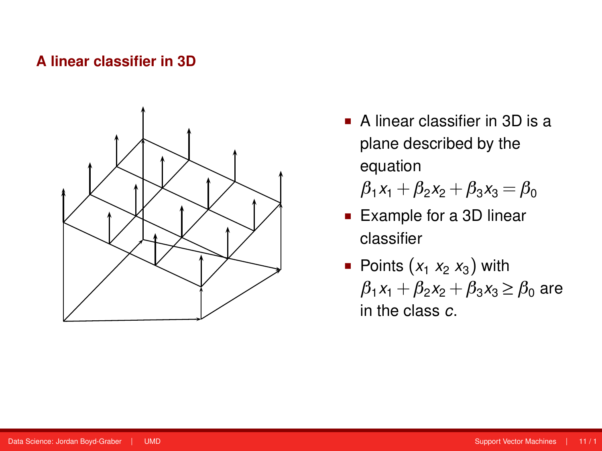#### **A linear classifier in 3D** Allen Vector Support Vector Machines Discussion Machines Discussion Machines Discussion Machines Discussion Machines Discussion Machines Discussion Machines Discussion Machines Discussion Machin



A linear classifier in 3D is A linear classifier in 3D is a a plane described by the plane described by the  $^{eq}$   $^{eq}$   $^{eq}$   $^{eq}$ equation

 $\beta_1x_1+\beta_2x_2+\beta_3x_3=\beta_0$ 

- **Example for a 3D linear** Points (d<sup>1</sup> d<sup>2</sup> d3) with classifier
- **Points**  $(x_1 x_2 x_3)$  with  $\beta_1 x_1 + \beta_2 x_2 + \beta_3 x_3 \ge \beta_0$  are in the class *c*.